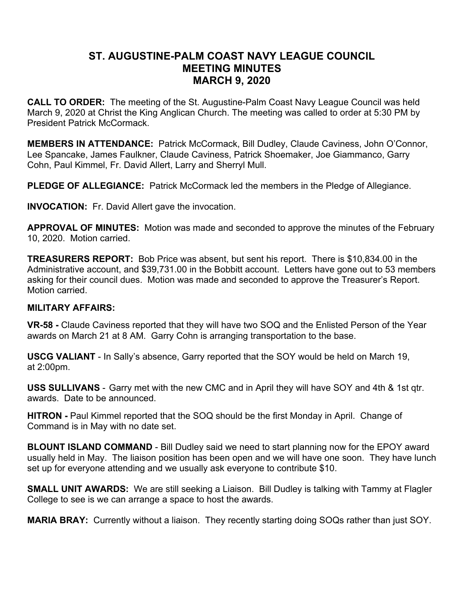## **ST. AUGUSTINE-PALM COAST NAVY LEAGUE COUNCIL MEETING MINUTES MARCH 9, 2020**

**CALL TO ORDER:** The meeting of the St. Augustine-Palm Coast Navy League Council was held March 9, 2020 at Christ the King Anglican Church. The meeting was called to order at 5:30 PM by President Patrick McCormack.

**MEMBERS IN ATTENDANCE:** Patrick McCormack, Bill Dudley, Claude Caviness, John O'Connor, Lee Spancake, James Faulkner, Claude Caviness, Patrick Shoemaker, Joe Giammanco, Garry Cohn, Paul Kimmel, Fr. David Allert, Larry and Sherryl Mull.

**PLEDGE OF ALLEGIANCE:** Patrick McCormack led the members in the Pledge of Allegiance.

**INVOCATION:** Fr. David Allert gave the invocation.

**APPROVAL OF MINUTES:** Motion was made and seconded to approve the minutes of the February 10, 2020. Motion carried.

**TREASURERS REPORT:** Bob Price was absent, but sent his report. There is \$10,834.00 in the Administrative account, and \$39,731.00 in the Bobbitt account. Letters have gone out to 53 members asking for their council dues. Motion was made and seconded to approve the Treasurer's Report. Motion carried.

## **MILITARY AFFAIRS:**

**VR-58 -** Claude Caviness reported that they will have two SOQ and the Enlisted Person of the Year awards on March 21 at 8 AM. Garry Cohn is arranging transportation to the base.

**USCG VALIANT** - In Sally's absence, Garry reported that the SOY would be held on March 19, at 2:00pm.

**USS SULLIVANS** - Garry met with the new CMC and in April they will have SOY and 4th & 1st qtr. awards. Date to be announced.

**HITRON -** Paul Kimmel reported that the SOQ should be the first Monday in April. Change of Command is in May with no date set.

**BLOUNT ISLAND COMMAND** - Bill Dudley said we need to start planning now for the EPOY award usually held in May. The liaison position has been open and we will have one soon. They have lunch set up for everyone attending and we usually ask everyone to contribute \$10.

**SMALL UNIT AWARDS:** We are still seeking a Liaison. Bill Dudley is talking with Tammy at Flagler College to see is we can arrange a space to host the awards.

**MARIA BRAY:** Currently without a liaison. They recently starting doing SOQs rather than just SOY.